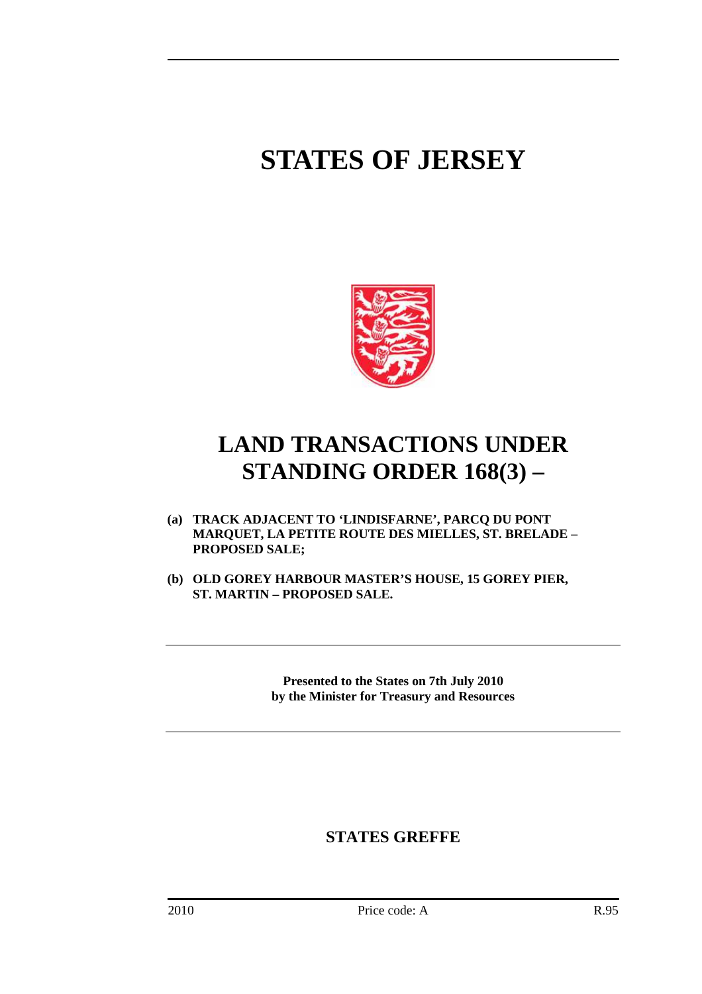# **STATES OF JERSEY**



## **LAND TRANSACTIONS UNDER STANDING ORDER 168(3) –**

- **(a) TRACK ADJACENT TO 'LINDISFARNE', PARCQ DU PONT MARQUET, LA PETITE ROUTE DES MIELLES, ST. BRELADE – PROPOSED SALE;**
- **(b) OLD GOREY HARBOUR MASTER'S HOUSE, 15 GOREY PIER, ST. MARTIN – PROPOSED SALE.**

**Presented to the States on 7th July 2010 by the Minister for Treasury and Resources** 

### **STATES GREFFE**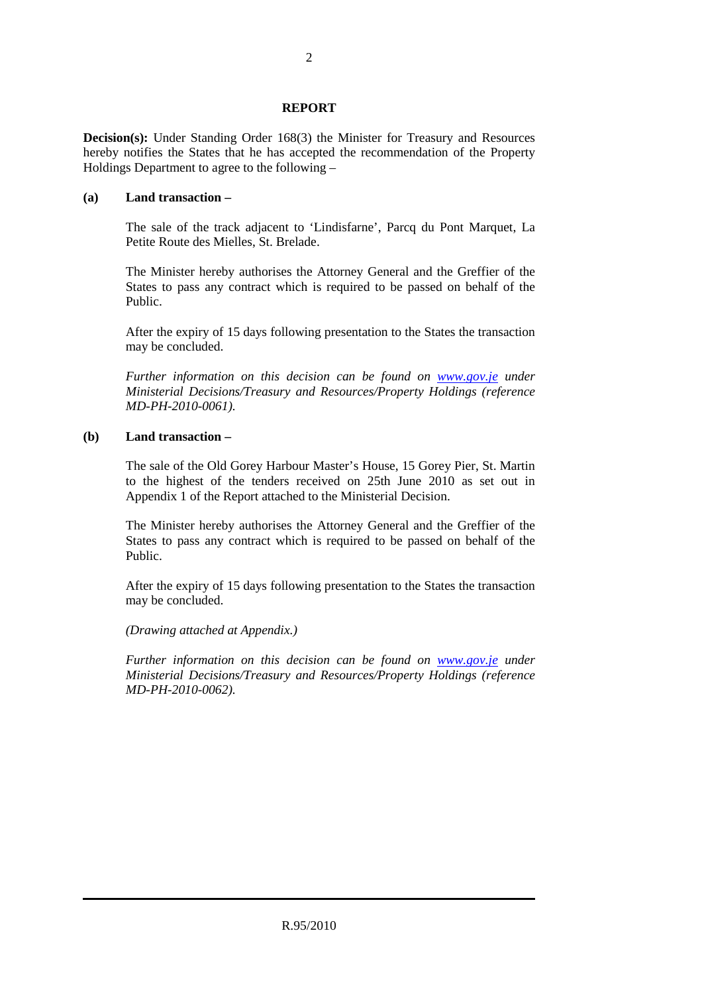#### **REPORT**

**Decision(s):** Under Standing Order 168(3) the Minister for Treasury and Resources hereby notifies the States that he has accepted the recommendation of the Property Holdings Department to agree to the following –

#### **(a) Land transaction –**

 The sale of the track adjacent to 'Lindisfarne', Parcq du Pont Marquet, La Petite Route des Mielles, St. Brelade.

 The Minister hereby authorises the Attorney General and the Greffier of the States to pass any contract which is required to be passed on behalf of the Public.

 After the expiry of 15 days following presentation to the States the transaction may be concluded.

 *Further information on this decision can be found on www.gov.je under Ministerial Decisions/Treasury and Resources/Property Holdings (reference MD-PH-2010-0061).* 

#### **(b) Land transaction –**

 The sale of the Old Gorey Harbour Master's House, 15 Gorey Pier, St. Martin to the highest of the tenders received on 25th June 2010 as set out in Appendix 1 of the Report attached to the Ministerial Decision.

 The Minister hereby authorises the Attorney General and the Greffier of the States to pass any contract which is required to be passed on behalf of the Public.

 After the expiry of 15 days following presentation to the States the transaction may be concluded.

 *(Drawing attached at Appendix.)* 

 *Further information on this decision can be found on www.gov.je under Ministerial Decisions/Treasury and Resources/Property Holdings (reference MD-PH-2010-0062).*